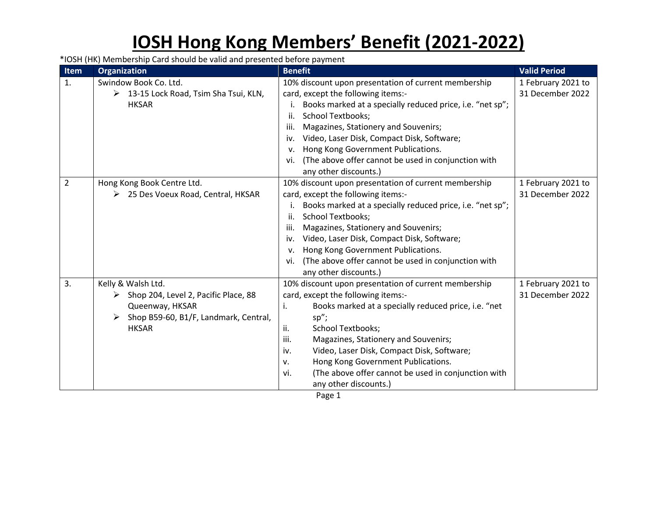## **IOSH Hong Kong Members' Benefit (2021-2022)**

\*IOSH (HK) Membership Card should be valid and presented before payment

| <b>Item</b>    | <b>Organization</b>                                                                                                                    | <b>Benefit</b>                                                                                                                                                                                                                                                                                                                                                                                                                              | <b>Valid Period</b>                    |
|----------------|----------------------------------------------------------------------------------------------------------------------------------------|---------------------------------------------------------------------------------------------------------------------------------------------------------------------------------------------------------------------------------------------------------------------------------------------------------------------------------------------------------------------------------------------------------------------------------------------|----------------------------------------|
| 1.             | Swindow Book Co. Ltd.<br>13-15 Lock Road, Tsim Sha Tsui, KLN,<br>➤<br><b>HKSAR</b>                                                     | 10% discount upon presentation of current membership<br>card, except the following items:-<br>Books marked at a specially reduced price, i.e. "net sp";<br><b>School Textbooks;</b><br>ii.<br>Magazines, Stationery and Souvenirs;<br>iii.<br>Video, Laser Disk, Compact Disk, Software;<br>iv.<br>Hong Kong Government Publications.<br>v.<br>(The above offer cannot be used in conjunction with<br>vi.<br>any other discounts.)          | 1 February 2021 to<br>31 December 2022 |
| $\overline{2}$ | Hong Kong Book Centre Ltd.<br>25 Des Voeux Road, Central, HKSAR                                                                        | 10% discount upon presentation of current membership<br>card, except the following items:-<br>Books marked at a specially reduced price, i.e. "net sp";<br>Ι.<br><b>School Textbooks;</b><br>ii.<br>iii.<br>Magazines, Stationery and Souvenirs;<br>Video, Laser Disk, Compact Disk, Software;<br>iv.<br>Hong Kong Government Publications.<br>v.<br>(The above offer cannot be used in conjunction with<br>vi.<br>any other discounts.)    | 1 February 2021 to<br>31 December 2022 |
| 3.             | Kelly & Walsh Ltd.<br>Shop 204, Level 2, Pacific Place, 88<br>Queenway, HKSAR<br>Shop B59-60, B1/F, Landmark, Central,<br><b>HKSAR</b> | 10% discount upon presentation of current membership<br>card, except the following items:-<br>Books marked at a specially reduced price, i.e. "net<br>i.<br>sp";<br>ii.<br><b>School Textbooks;</b><br>Magazines, Stationery and Souvenirs;<br>iii.<br>Video, Laser Disk, Compact Disk, Software;<br>iv.<br>Hong Kong Government Publications.<br>v.<br>(The above offer cannot be used in conjunction with<br>vi.<br>any other discounts.) | 1 February 2021 to<br>31 December 2022 |

Page 1